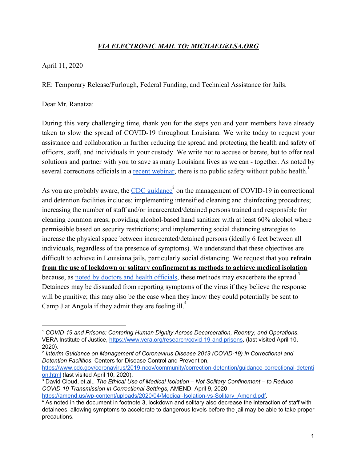## *VIA ELECTRONIC MAIL TO: MICHAEL@LSA.ORG*

April 11, 2020

RE: Temporary Release/Furlough, Federal Funding, and Technical Assistance for Jails.

Dear Mr. Ranatza:

During this very challenging time, thank you for the steps you and your members have already taken to slow the spread of COVID-19 throughout Louisiana. We write today to request your assistance and collaboration in further reducing the spread and protecting the health and safety of officers, staff, and individuals in your custody. We write not to accuse or berate, but to offer real solutions and partner with you to save as many Louisiana lives as we can - together. As noted by several corrections officials in a <u>recent webinar</u>, there is no public safety without public health.<sup>1</sup>

As you are probably aware, the [CDC guidance](https://www.cdc.gov/coronavirus/2019-ncov/community/correction-detention/guidance-correctional-detention.html)  $\degree$  on the management of COVID-19 in correctional and detention facilities includes: implementing intensified cleaning and disinfecting procedures; increasing the number of staff and/or incarcerated/detained persons trained and responsible for cleaning common areas; providing alcohol-based hand sanitizer with at least 60% alcohol where permissible based on security restrictions; and implementing social distancing strategies to increase the physical space between incarcerated/detained persons (ideally 6 feet between all individuals, regardless of the presence of symptoms). We understand that these objectives are difficult to achieve in Louisiana jails, particularly social distancing. We request that you **refrain from the use of lockdown or solitary confinement as methods to achieve medical isolation** because, as [noted by doctors and health officials,](https://amend.us/wp-content/uploads/2020/04/Medical-Isolation-vs-Solitary_Amend.pdf) these methods may exacerbate the spread.<sup>3</sup> Detainees may be dissuaded from reporting symptoms of the virus if they believe the response will be punitive; this may also be the case when they know they could potentially be sent to Camp J at Angola if they admit they are feeling ill.<sup>4</sup>

<sup>1</sup> *COVID-19 and Prisons: Centering Human Dignity Across Decarceration, Reentry, and Operations*, VERA Institute of Justice, <https://www.vera.org/research/covid-19-and-prisons>, (last visited April 10, 2020).

<sup>2</sup> *Interim Guidance on Management of Coronavirus Disease 2019 (COVID-19) in Correctional and Detention Facilities*, Centers for Disease Control and Prevention,

[https://www.cdc.gov/coronavirus/2019-ncov/community/correction-detention/guidance-correctional-detenti](https://www.cdc.gov/coronavirus/2019-ncov/community/correction-detention/guidance-correctional-detention.html) [on.html](https://www.cdc.gov/coronavirus/2019-ncov/community/correction-detention/guidance-correctional-detention.html) (last visited April 10, 2020).

<sup>3</sup> David Cloud, et.al., *The Ethical Use of Medical Isolation – Not Solitary Confinement – to Reduce COVID-19 Transmission in Correctional Settings*, AMEND, April 9, 2020

[https://amend.us/wp-content/uploads/2020/04/Medical-Isolation-vs-Solitary\\_Amend.pdf.](https://amend.us/wp-content/uploads/2020/04/Medical-Isolation-vs-Solitary_Amend.pdf)

<sup>4</sup> As noted in the document in footnote 3, lockdown and solitary also decrease the interaction of staff with detainees, allowing symptoms to accelerate to dangerous levels before the jail may be able to take proper precautions.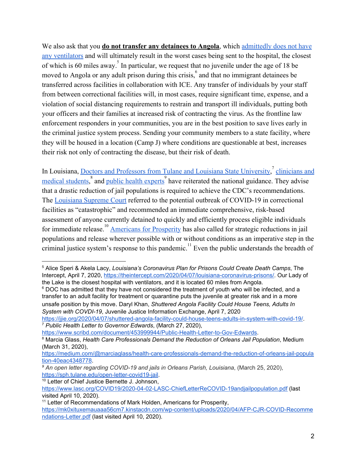We also ask that you **do not transfer any detainees to Angola**, which [admittedly does not have](https://theintercept.com/2020/04/07/louisiana-coronavirus-prisons/) [any ventilators](https://theintercept.com/2020/04/07/louisiana-coronavirus-prisons/) and will ultimately result in the worst cases being sent to the hospital, the closest of which is 60 miles away.<sup>5</sup> In particular, we request that no juvenile under the age of 18 be moved to Angola or any adult prison during this crisis.  $\delta$  and that no immigrant detainees be transferred across facilities in collaboration with ICE. Any transfer of individuals by your staff from between correctional facilities will, in most cases, require significant time, expense, and a violation of social distancing requirements to restrain and transport ill individuals, putting both your officers and their families at increased risk of contracting the virus. As the frontline law enforcement responders in your communities, you are in the best position to save lives early in the criminal justice system process. Sending your community members to a state facility, where they will be housed in a location (Camp J) where conditions are questionable at best, increases their risk not only of contracting the disease, but their risk of death.

In Louisiana, [Doctors and Professors from Tulane and Louisiana State University,](https://www.scribd.com/document/453999944/Public-Health-Letter-to-Gov-Edwards)<sup>7</sup> [clinicians and](https://medium.com/@marciaglass/health-care-professionals-demand-the-reduction-of-orleans-jail-population-40eac4348778) [medical students](https://medium.com/@marciaglass/health-care-professionals-demand-the-reduction-of-orleans-jail-population-40eac4348778),<sup>8</sup> and [public health experts](https://sph.tulane.edu/open-letter-covid19-jail)<sup>9</sup> have reiterated the national guidance. They advise that a drastic reduction of jail populations is required to achieve the CDC's recommendations. The [Louisiana Supreme Court](https://www.lasc.org/COVID19/2020-04-02-LASC-ChiefLetterReCOVID-19andjailpopulation.pdf) referred to the potential outbreak of COVID-19 in correctional facilities as "catastrophic" and recommended an immediate comprehensive, risk-based assessment of anyone currently detained to quickly and efficiently process eligible individuals for immediate release.<sup>10</sup> [Americans for Prosperity](https://mk0xituxemauaaa56cm7.kinstacdn.com/wp-content/uploads/2020/04/AFP-CJR-COVID-Recommendations-Letter.pdf) has also called for strategic reductions in jail populations and release wherever possible with or without conditions as an imperative step in the criminal justice system's response to this pandemic.<sup>11</sup> Even the public understands the breadth of

<sup>10</sup> Letter of Chief Justice Bernette J. Johnson,

<sup>5</sup> Alice Speri & Akela Lacy, *Louisiana's Coronavirus Plan for Prisons Could Create Death Camps*, The Intercept, April 7, 2020, <https://theintercept.com/2020/04/07/louisiana-coronavirus-prisons/>. Our Lady of the Lake is the closest hospital with ventilators, and it is located 60 miles from Angola.

 $6$  DOC has admitted that they have not considered the treatment of youth who will be infected, and a transfer to an adult facility for treatment or quarantine puts the juvenile at greater risk and in a more unsafe position by this move. Daryl Khan, *Shuttered Angola Facility Could House Teens, Adults In System with COVDI-19*, Juvenile Justice Information Exchange, April 7, 2020

[https://jjie.org/2020/04/07/shuttered-angola-facility-could-house-teens-adults-in-system-with-covid-19/.](https://jjie.org/2020/04/07/shuttered-angola-facility-could-house-teens-adults-in-system-with-covid-19/) <sup>7</sup> *Public Health Letter to Governor Edwards*, (March 27, 2020),

[https://www.scribd.com/document/453999944/Public-Health-Letter-to-Gov-Edwards.](https://www.scribd.com/document/453999944/Public-Health-Letter-to-Gov-Edwards)

<sup>8</sup> Marcia Glass, *Health Care Professionals Demand the Reduction of Orleans Jail Population*, Medium (March 31, 2020),

[https://medium.com/@marciaglass/health-care-professionals-demand-the-reduction-of-orleans-jail-popula](https://medium.com/@marciaglass/health-care-professionals-demand-the-reduction-of-orleans-jail-population-40eac4348778) [tion-40eac4348778.](https://medium.com/@marciaglass/health-care-professionals-demand-the-reduction-of-orleans-jail-population-40eac4348778)

*<sup>9</sup> An open letter regarding COVID-19 and jails in Orleans Parish, Louisiana*, (March 25, 2020), [https://sph.tulane.edu/open-letter-covid19-jail.](https://sph.tulane.edu/open-letter-covid19-jail)

<https://www.lasc.org/COVID19/2020-04-02-LASC-ChiefLetterReCOVID-19andjailpopulation.pdf> (last visited April 10, 2020).

<sup>&</sup>lt;sup>11</sup> Letter of Recommendations of Mark Holden, Americans for Prosperity, [https://mk0xituxemauaaa56cm7.kinstacdn.com/wp-content/uploads/2020/04/AFP-CJR-COVID-Recomme](https://mk0xituxemauaaa56cm7.kinstacdn.com/wp-content/uploads/2020/04/AFP-CJR-COVID-Recommendations-Letter.pdf) [ndations-Letter.pdf](https://mk0xituxemauaaa56cm7.kinstacdn.com/wp-content/uploads/2020/04/AFP-CJR-COVID-Recommendations-Letter.pdf) (last visited April 10, 2020).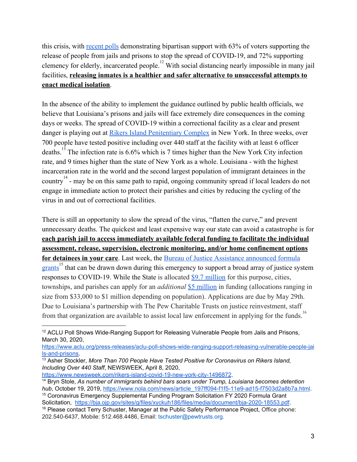this crisis, with [recent polls](https://www.aclu.org/press-releases/aclu-poll-shows-wide-ranging-support-releasing-vulnerable-people-jails-and-prisons) demonstrating bipartisan support with 63% of voters supporting the release of people from jails and prisons to stop the spread of COVID-19, and 72% supporting clemency for elderly, incarcerated people.<sup>12</sup> With social distancing nearly impossible in many jail facilities, **releasing inmates is a healthier and safer alternative to unsuccessful attempts to enact medical isolation**.

In the absence of the ability to implement the guidance outlined by public health officials, we believe that Louisiana's prisons and jails will face extremely dire consequences in the coming days or weeks. The spread of COVID-19 within a correctional facility as a clear and present danger is playing out at [Rikers Island Penitentiary Complex](https://www.newsweek.com/rikers-island-covid-19-new-york-city-1496872) in New York. In three weeks, over 700 people have tested positive including over 440 staff at the facility with at least 6 officer deaths.<sup>13</sup> The infection rate is  $6.6\%$  which is 7 times higher than the New York City infection rate, and 9 times higher than the state of New York as a whole. Louisiana - with the highest incarceration rate in the world and the second largest population of immigrant detainees in the country  $14$  - may be on this same path to rapid, ongoing community spread if local leaders do not engage in immediate action to protect their parishes and cities by reducing the cycling of the virus in and out of correctional facilities.

There is still an opportunity to slow the spread of the virus, "flatten the curve," and prevent unnecessary deaths. The quickest and least expensive way our state can avoid a catastrophe is for **each parish jail to access immediately available federal funding to facilitate the individual assessment, release, supervision, electronic monitoring, and/or home confinement options for detainees in your care**. Last week, the [Bureau of Justice Assistance announced formula](https://bja.ojp.gov/sites/g/files/xyckuh186/files/media/document/bja-2020-18553.pdf) [grants](https://bja.ojp.gov/sites/g/files/xyckuh186/files/media/document/bja-2020-18553.pdf)<sup>15</sup> that can be drawn down during this emergency to support a broad array of justice system responses to COVID-19. While the State is allocated [\\$9.7 million](https://bja.ojp.gov/sites/g/files/xyckuh186/files/media/document/fy20-cesf-state-allocations.pdf) for this purpose, cities, townships, and parishes can apply for an *additional* [\\$5 million](https://bja.ojp.gov/sites/g/files/xyckuh186/files/media/document/fy20-cesf-allocations-la.pdf) in funding (allocations ranging in size from \$33,000 to \$1 million depending on population). Applications are due by May 29th. Due to Louisiana's partnership with The Pew Charitable Trusts on justice reinvestment, staff from that organization are available to assist local law enforcement in applying for the funds.<sup>16</sup>

<sup>&</sup>lt;sup>12</sup> ACLU Poll Shows Wide-Ranging Support for Releasing Vulnerable People from Jails and Prisons, March 30, 2020,

[https://www.aclu.org/press-releases/aclu-poll-shows-wide-ranging-support-releasing-vulnerable-people-jai](https://www.aclu.org/press-releases/aclu-poll-shows-wide-ranging-support-releasing-vulnerable-people-jails-and-prisons) [ls-and-prisons.](https://www.aclu.org/press-releases/aclu-poll-shows-wide-ranging-support-releasing-vulnerable-people-jails-and-prisons)

<sup>13</sup> Asher Stockler, *More Than 700 People Have Tested Positive for Coronavirus on Rikers Island, Including Over 440 Staff*, NEWSWEEK, April 8, 2020,

[https://www.newsweek.com/rikers-island-covid-19-new-york-city-1496872.](https://www.newsweek.com/rikers-island-covid-19-new-york-city-1496872)

<sup>14</sup> Bryn Stole, *As number of immigrants behind bars soars under Trump, Louisiana becomes detention hub*, October 19, 2019, [https://www.nola.com/news/article\\_197ff094-f1f5-11e9-ad15-f7503d2a8b7a.html](https://www.nola.com/news/article_197ff094-f1f5-11e9-ad15-f7503d2a8b7a.html).

<sup>15</sup> Coronavirus Emergency Supplemental Funding Program Solicitation FY 2020 Formula Grant Solicitation, <https://bja.ojp.gov/sites/g/files/xyckuh186/files/media/document/bja-2020-18553.pdf>. <sup>16</sup> Please contact Terry Schuster, Manager at the Public Safety Performance Project, Office phone: 202.540-6437, Mobile: 512.468.4486, Email: tschuster@pewtrusts.org.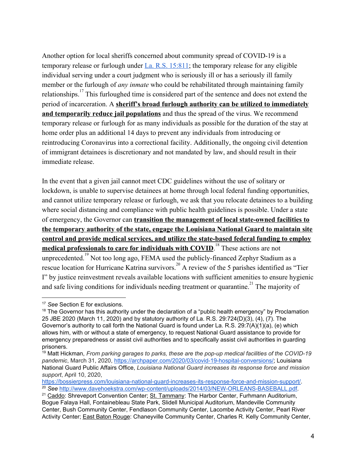Another option for local sheriffs concerned about community spread of COVID-19 is a temporary release or furlough under [La. R.S. 15:811;](https://legis.la.gov/Legis/Law.aspx?d=79335) the temporary release for any eligible individual serving under a court judgment who is seriously ill or has a seriously ill family member or the furlough of *any inmate* who could be rehabilitated through maintaining family relationships.<sup>17</sup> This furloughed time is considered part of the sentence and does not extend the period of incarceration. A **sheriff's broad furlough authority can be utilized to immediately and temporarily reduce jail populations** and thus the spread of the virus. We recommend temporary release or furlough for as many individuals as possible for the duration of the stay at home order plus an additional 14 days to prevent any individuals from introducing or reintroducing Coronavirus into a correctional facility. Additionally, the ongoing civil detention of immigrant detainees is discretionary and not mandated by law, and should result in their immediate release.

In the event that a given jail cannot meet CDC guidelines without the use of solitary or lockdown, is unable to supervise detainees at home through local federal funding opportunities, and cannot utilize temporary release or furlough, we ask that you relocate detainees to a building where social distancing and compliance with public health guidelines is possible. Under a state of emergency, the Governor can **transition the management of local state-owned facilities to the temporary authority of the state, engage the Louisiana National Guard to maintain site control and provide medical services, and utilize the state-based federal funding to employ medical professionals to care for individuals with COVID.** <sup>18</sup> These actions are not unprecedented.<sup>19</sup> Not too long ago, FEMA used the publicly-financed Zephyr Stadium as a rescue location for Hurricane Katrina survivors.<sup>20</sup> A review of the 5 parishes identified as "Tier I" by justice reinvestment reveals available locations with sufficient amenities to ensure hygienic and safe living conditions for individuals needing treatment or quarantine.<sup>21</sup> The majority of

<sup>17</sup> *See* Section E for exclusions.

 $18$  The Governor has this authority under the declaration of a "public health emergency" by Proclamation 25 JBE 2020 (March 11, 2020) and by statutory authority of La. R.S. 29:724(D)(3), (4), (7). The Governor's authority to call forth the National Guard is found under La. R.S. 29:7(A)(1)(a), (e) which allows him, with or without a state of emergency, to request National Guard assistance to provide for emergency preparedness or assist civil authorities and to specifically assist civil authorities in guarding prisoners.

<sup>19</sup> Matt Hickman, *From parking garages to parks, these are the pop-up medical facilities of the COVID-19 pandemic*, March 31, 2020, [https://archpaper.com/2020/03/covid-19-hospital-conversions/;](https://archpaper.com/2020/03/covid-19-hospital-conversions/) Louisiana National Guard Public Affairs Office, *Louisiana National Guard increases its response force and mission support*, April 10, 2020,

[https://bossierpress.com/louisiana-national-guard-increases-its-response-force-and-mission-support/.](https://bossierpress.com/louisiana-national-guard-increases-its-response-force-and-mission-support/) <sup>20</sup> *See* [http://www.davehoekstra.com/wp-content/uploads/2014/03/NEW-ORLEANS-BASEBALL.pdf.](http://www.davehoekstra.com/wp-content/uploads/2014/03/NEW-ORLEANS-BASEBALL.pdf)

<sup>&</sup>lt;sup>21</sup> Caddo: Shreveport Convention Center: St. Tammany: The Harbor Center, Furhmann Auditorium, Bogue Falaya Hall, Fontainebleau State Park, Slidell Municipal Auditorium, Mandeville Community Center, Bush Community Center, Fendlason Community Center, Lacombe Activity Center, Pearl River Activity Center; East Baton Rouge: Chaneyville Community Center, Charles R. Kelly Community Center,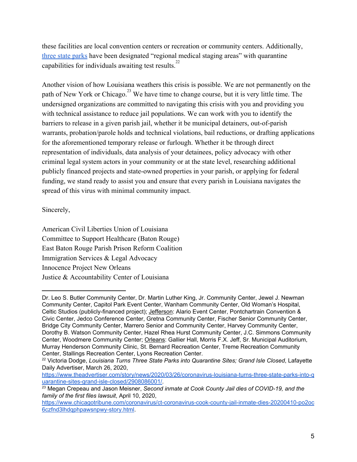these facilities are local convention centers or recreation or community centers. Additionally, [three state parks](https://www.theadvertiser.com/story/news/2020/03/26/coronavirus-louisiana-turns-three-state-parks-into-quarantine-sites-grand-isle-closed/2908086001/) have been designated "regional medical staging areas" with quarantine capabilities for individuals awaiting test results.<sup>22</sup>

Another vision of how Louisiana weathers this crisis is possible. We are not permanently on the path of New York or Chicago.<sup>23</sup> We have time to change course, but it is very little time. The undersigned organizations are committed to navigating this crisis with you and providing you with technical assistance to reduce jail populations. We can work with you to identify the barriers to release in a given parish jail, whether it be municipal detainers, out-of-parish warrants, probation/parole holds and technical violations, bail reductions, or drafting applications for the aforementioned temporary release or furlough. Whether it be through direct representation of individuals, data analysis of your detainees, policy advocacy with other criminal legal system actors in your community or at the state level, researching additional publicly financed projects and state-owned properties in your parish, or applying for federal funding, we stand ready to assist you and ensure that every parish in Louisiana navigates the spread of this virus with minimal community impact.

## Sincerely,

American Civil Liberties Union of Louisiana Committee to Support Healthcare (Baton Rouge) East Baton Rouge Parish Prison Reform Coalition Immigration Services & Legal Advocacy Innocence Project New Orleans Justice & Accountability Center of Louisiana

Dr. Leo S. Butler Community Center, Dr. Martin Luther King, Jr. Community Center, Jewel J. Newman Community Center, Capitol Park Event Center, Wanham Community Center, Old Woman's Hospital, Celtic Studios (publicly-financed project); Jefferson: Alario Event Center, Pontchartrain Convention & Civic Center, Jedco Conference Center, Gretna Community Center, Fischer Senior Community Center, Bridge City Community Center, Marrero Senior and Community Center, Harvey Community Center, Dorothy B. Watson Community Center, Hazel Rhea Hurst Community Center, J.C. Simmons Community Center, Woodmere Community Center; Orleans: Gallier Hall, Morris F.X. Jeff, Sr. Municipal Auditorium, Murray Henderson Community Clinic, St. Bernard Recreation Center, Treme Recreation Community Center, Stallings Recreation Center, Lyons Recreation Center.

<sup>22</sup> Victoria Dodge, *Louisiana Turns Three State Parks into Quarantine Sites; Grand Isle Closed*, Lafayette Daily Advertiser, March 26, 2020,

[https://www.theadvertiser.com/story/news/2020/03/26/coronavirus-louisiana-turns-three-state-parks-into-q](https://www.theadvertiser.com/story/news/2020/03/26/coronavirus-louisiana-turns-three-state-parks-into-quarantine-sites-grand-isle-closed/2908086001/) [uarantine-sites-grand-isle-closed/2908086001/](https://www.theadvertiser.com/story/news/2020/03/26/coronavirus-louisiana-turns-three-state-parks-into-quarantine-sites-grand-isle-closed/2908086001/).

<sup>23</sup> Megan Crepeau and Jason Meisner, *Second inmate at Cook County Jail dies of COVID-19, and the family of the first files lawsuit*, April 10, 2020,

[https://www.chicagotribune.com/coronavirus/ct-coronavirus-cook-county-jail-inmate-dies-20200410-po2oc](https://www.chicagotribune.com/coronavirus/ct-coronavirus-cook-county-jail-inmate-dies-20200410-po2oc6czfnd3lhdqphpawsnpwy-story.html) [6czfnd3lhdqphpawsnpwy-story.html](https://www.chicagotribune.com/coronavirus/ct-coronavirus-cook-county-jail-inmate-dies-20200410-po2oc6czfnd3lhdqphpawsnpwy-story.html).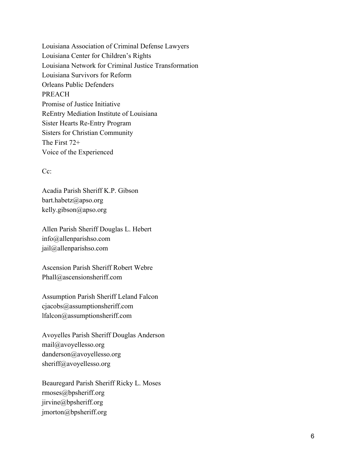Louisiana Association of Criminal Defense Lawyers Louisiana Center for Children's Rights Louisiana Network for Criminal Justice Transformation Louisiana Survivors for Reform Orleans Public Defenders PREACH Promise of Justice Initiative ReEntry Mediation Institute of Louisiana Sister Hearts Re-Entry Program Sisters for Christian Community The First 72+ Voice of the Experienced

## $Cc^{\dagger}$

Acadia Parish Sheriff K.P. Gibson [bart.habetz@apso.org](mailto:bart.habetz@apso.org) kelly.gibson@apso.org

Allen Parish Sheriff Douglas L. Hebert [info@allenparishso.com](mailto:info@allenparishso.com) jail@allenparishso.com

Ascension Parish Sheriff Robert Webre Phall@ascensionsheriff.com

Assumption Parish Sheriff Leland Falcon [cjacobs@assumptionsheriff.com](mailto:cjacobs@assumptionsheriff.com) lfalcon@assumptionsheriff.com

Avoyelles Parish Sheriff Douglas Anderson [mail@avoyellesso.org](mailto:mail@avoyellesso.org) [danderson@avoyellesso.org](mailto:danderson@avoyellesso.org) sheriff@avoyellesso.org

Beauregard Parish Sheriff Ricky L. Moses rmoses@bpsheriff.org [jirvine@bpsheriff.org](mailto:jirvine@bpsheriff.org) [jmorton@bpsheriff.org](mailto:jmorton@bpsheriff.org)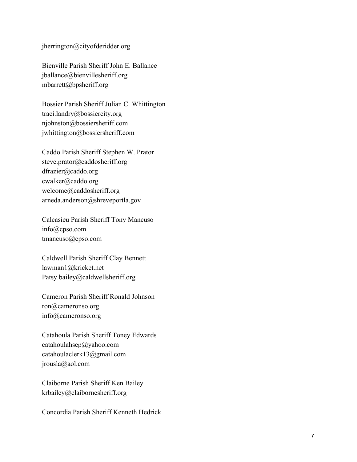jherrington@cityofderidder.org

Bienville Parish Sheriff John E. Ballance jballance@bienvillesheriff.org mbarrett@bpsheriff.org

Bossier Parish Sheriff Julian C. Whittington [traci.landry@bossiercity.org](mailto:traci.landry@bossiercity.org) njohnston@bossiersheriff.com jwhittington@bossiersheriff.com

Caddo Parish Sheriff Stephen W. Prator steve.prator@caddosheriff.org [dfrazier@caddo.org](mailto:dfrazier@caddo.org) [cwalker@caddo.org](mailto:cwalker@caddo.org) [welcome@caddosheriff.org](mailto:welcome@caddosheriff.org) arneda.anderson@shreveportla.gov

Calcasieu Parish Sheriff Tony Mancuso [info@cpso.com](mailto:info@cpso.com) tmancuso@cpso.com

Caldwell Parish Sheriff Clay Bennett [lawman1@kricket.net](mailto:lawman1@kricket.net) Patsy.bailey@caldwellsheriff.org

Cameron Parish Sheriff Ronald Johnson ron@cameronso.org info@cameronso.org

Catahoula Parish Sheriff Toney Edwards [catahoulahsep@yahoo.com](mailto:catahoulahsep@yahoo.com) [catahoulaclerk13@gmail.com](mailto:catahoulaclerk13@gmail.com) jrousla@aol.com

Claiborne Parish Sheriff Ken Bailey krbailey@claibornesheriff.org

Concordia Parish Sheriff Kenneth Hedrick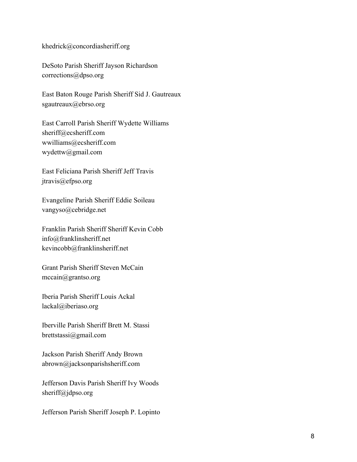khedrick@concordiasheriff.org

DeSoto Parish Sheriff Jayson Richardson corrections@dpso.org

East Baton Rouge Parish Sheriff Sid J. Gautreaux sgautreaux@ebrso.org

East Carroll Parish Sheriff Wydette Williams [sheriff@ecsheriff.com](mailto:sheriff@ecsheriff.com) wwilliams@ecsheriff.com wydettw@gmail.com

East Feliciana Parish Sheriff Jeff Travis jtravis@efpso.org

Evangeline Parish Sheriff Eddie Soileau vangyso@cebridge.net

Franklin Parish Sheriff Sheriff Kevin Cobb [info@franklinsheriff.net](mailto:info@franklinsheriff.net) kevincobb@franklinsheriff.net

Grant Parish Sheriff Steven McCain mccain@grantso.org

Iberia Parish Sheriff Louis Ackal lackal@iberiaso.org

Iberville Parish Sheriff Brett M. Stassi brettstassi@gmail.com

Jackson Parish Sheriff Andy Brown abrown@jacksonparishsheriff.com

Jefferson Davis Parish Sheriff Ivy Woods sheriff@jdpso.org

Jefferson Parish Sheriff Joseph P. Lopinto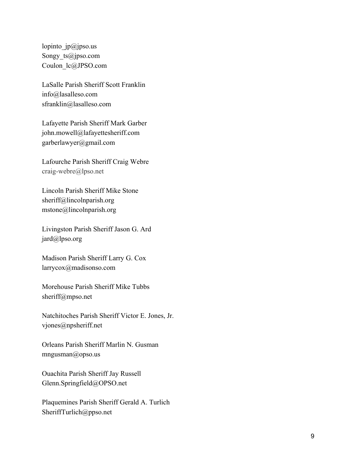lopinto  $ip@jpso.us$ Songy ts@jpso.com Coulon\_lc@JPSO.com

LaSalle Parish Sheriff Scott Franklin [info@lasalleso.com](mailto:info@lasalleso.com) sfranklin@lasalleso.com

Lafayette Parish Sheriff Mark Garber [john.mowell@lafayettesheriff.com](mailto:john.mowell@lafayettesheriff.com) garberlawyer@gmail.com

Lafourche Parish Sheriff Craig Webre craig-webre@lpso.net

Lincoln Parish Sheriff Mike Stone [sheriff@lincolnparish.org](mailto:sheriff@lincolnparish.org) mstone@lincolnparish.org

Livingston Parish Sheriff Jason G. Ard jard@lpso.org

Madison Parish Sheriff Larry G. Cox larrycox@madisonso.com

Morehouse Parish Sheriff Mike Tubbs sheriff@mpso.net

Natchitoches Parish Sheriff Victor E. Jones, Jr. vjones@npsheriff.net

Orleans Parish Sheriff Marlin N. Gusman mngusman@opso.us

Ouachita Parish Sheriff Jay Russell Glenn.Springfield@OPSO.net

Plaquemines Parish Sheriff Gerald A. Turlich [SheriffTurlich@ppso.net](mailto:SheriffTurlich@ppso.net)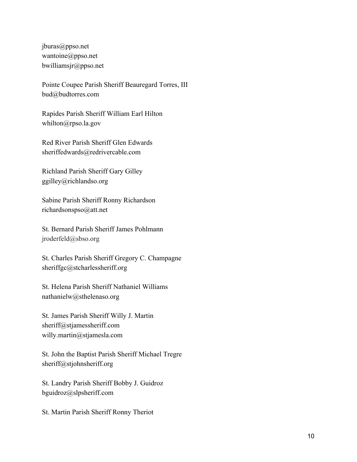[jburas@ppso.net](mailto:jburas@ppso.net) wantoine@ppso.net bwilliamsjr@ppso.net

Pointe Coupee Parish Sheriff Beauregard Torres, III bud@budtorres.com

Rapides Parish Sheriff William Earl Hilton whilton@rpso.la.gov

Red River Parish Sheriff Glen Edwards sheriffedwards@redrivercable.com

Richland Parish Sheriff Gary Gilley ggilley@richlandso.org

Sabine Parish Sheriff Ronny Richardson richardsonspso@att.net

St. Bernard Parish Sheriff James Pohlmann jroderfeld@sbso.org

St. Charles Parish Sheriff Gregory C. Champagne sheriffgc@stcharlessheriff.org

St. Helena Parish Sheriff Nathaniel Williams nathanielw@sthelenaso.org

St. James Parish Sheriff Willy J. Martin [sheriff@stjamessheriff.com](mailto:sheriff@stjamessheriff.com) willy.martin@stjamesla.com

St. John the Baptist Parish Sheriff Michael Tregre sheriff@stjohnsheriff.org

St. Landry Parish Sheriff Bobby J. Guidroz bguidroz@slpsheriff.com

St. Martin Parish Sheriff Ronny Theriot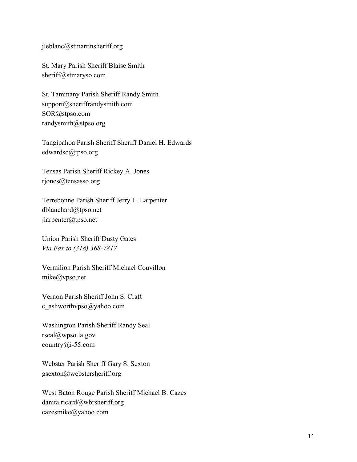[jleblanc@stmartinsheriff.org](mailto:jleblanc@stmartinsheriff.org)

St. Mary Parish Sheriff Blaise Smith sheriff@stmaryso.com

St. Tammany Parish Sheriff Randy Smith [support@sheriffrandysmith.com](mailto:support@sheriffrandysmith.com) [SOR@stpso.com](mailto:SOR@stpso.com) randysmith@stpso.org

Tangipahoa Parish Sheriff Sheriff Daniel H. Edwards edwardsd@tpso.org

Tensas Parish Sheriff Rickey A. Jones rjones@tensasso.org

Terrebonne Parish Sheriff Jerry L. Larpenter dblanchard@tpso.net jlarpenter@tpso.net

Union Parish Sheriff Dusty Gates *Via Fax to (318) 368-7817*

Vermilion Parish Sheriff Michael Couvillon mike@vpso.net

Vernon Parish Sheriff John S. Craft c\_ashworthvpso@yahoo.com

Washington Parish Sheriff Randy Seal [rseal@wpso.la.gov](mailto:rseal@wpso.la.gov) country@i-55.com

Webster Parish Sheriff Gary S. Sexton gsexton@webstersheriff.org

West Baton Rouge Parish Sheriff Michael B. Cazes danita.ricard@wbrsheriff.org cazesmike@yahoo.com